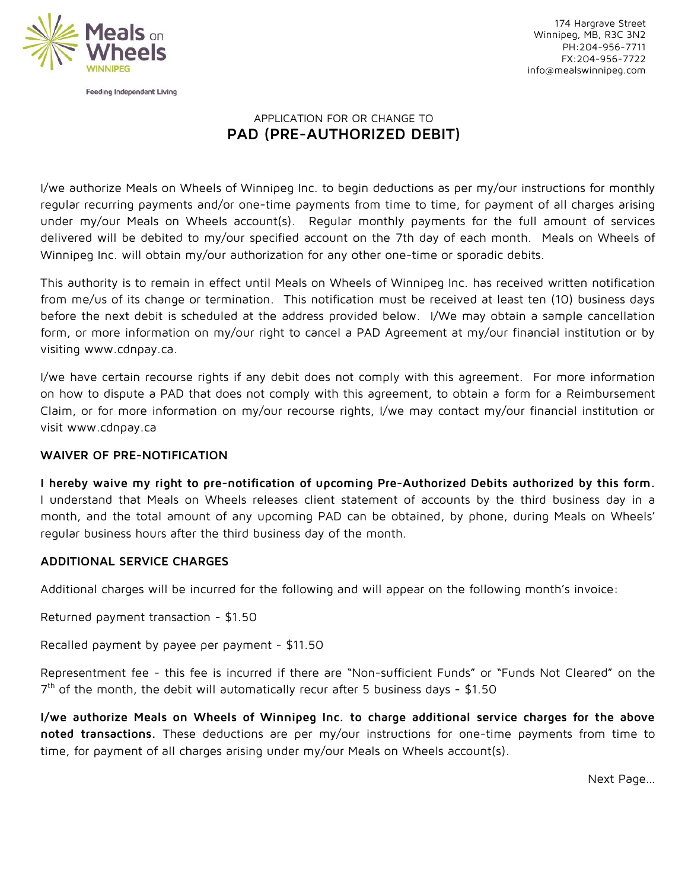

174 Hargrave Street Winnipeg, MB, R3C 3N2 PH:204-956-7711 FX:204-956-7722 info@mealswinnipeg.com

# APPLICATION FOR OR CHANGE TO **PAD (PRE-AUTHORIZED DEBIT)**

I/we authorize Meals on Wheels of Winnipeg Inc. to begin deductions as per my/our instructions for monthly regular recurring payments and/or one-time payments from time to time, for payment of all charges arising under my/our Meals on Wheels account(s). Regular monthly payments for the full amount of services delivered will be debited to my/our specified account on the 7th day of each month. Meals on Wheels of Winnipeg Inc. will obtain my/our authorization for any other one-time or sporadic debits.

This authority is to remain in effect until Meals on Wheels of Winnipeg Inc. has received written notification from me/us of its change or termination. This notification must be received at least ten (10) business days before the next debit is scheduled at the address provided below. I/We may obtain a sample cancellation form, or more information on my/our right to cancel a PAD Agreement at my/our financial institution or by visiting www.cdnpay.ca.

I/we have certain recourse rights if any debit does not comply with this agreement. For more information on how to dispute a PAD that does not comply with this agreement, to obtain a form for a Reimbursement Claim, or for more information on my/our recourse rights, I/we may contact my/our financial institution or visit www.cdnpay.ca

### **WAIVER OF PRE-NOTIFICATION**

**I hereby waive my right to pre-notification of upcoming Pre-Authorized Debits authorized by this form.** I understand that Meals on Wheels releases client statement of accounts by the third business day in a month, and the total amount of any upcoming PAD can be obtained, by phone, during Meals on Wheels' regular business hours after the third business day of the month.

### **ADDITIONAL SERVICE CHARGES**

Additional charges will be incurred for the following and will appear on the following month's invoice:

Returned payment transaction - \$1.50

Recalled payment by payee per payment - \$11.50

Representment fee - this fee is incurred if there are "Non-sufficient Funds" or "Funds Not Cleared" on the  $7<sup>th</sup>$  of the month, the debit will automatically recur after 5 business days - \$1.50

**I/we authorize Meals on Wheels of Winnipeg Inc. to charge additional service charges for the above noted transactions.** These deductions are per my/our instructions for one-time payments from time to time, for payment of all charges arising under my/our Meals on Wheels account(s).

Next Page…